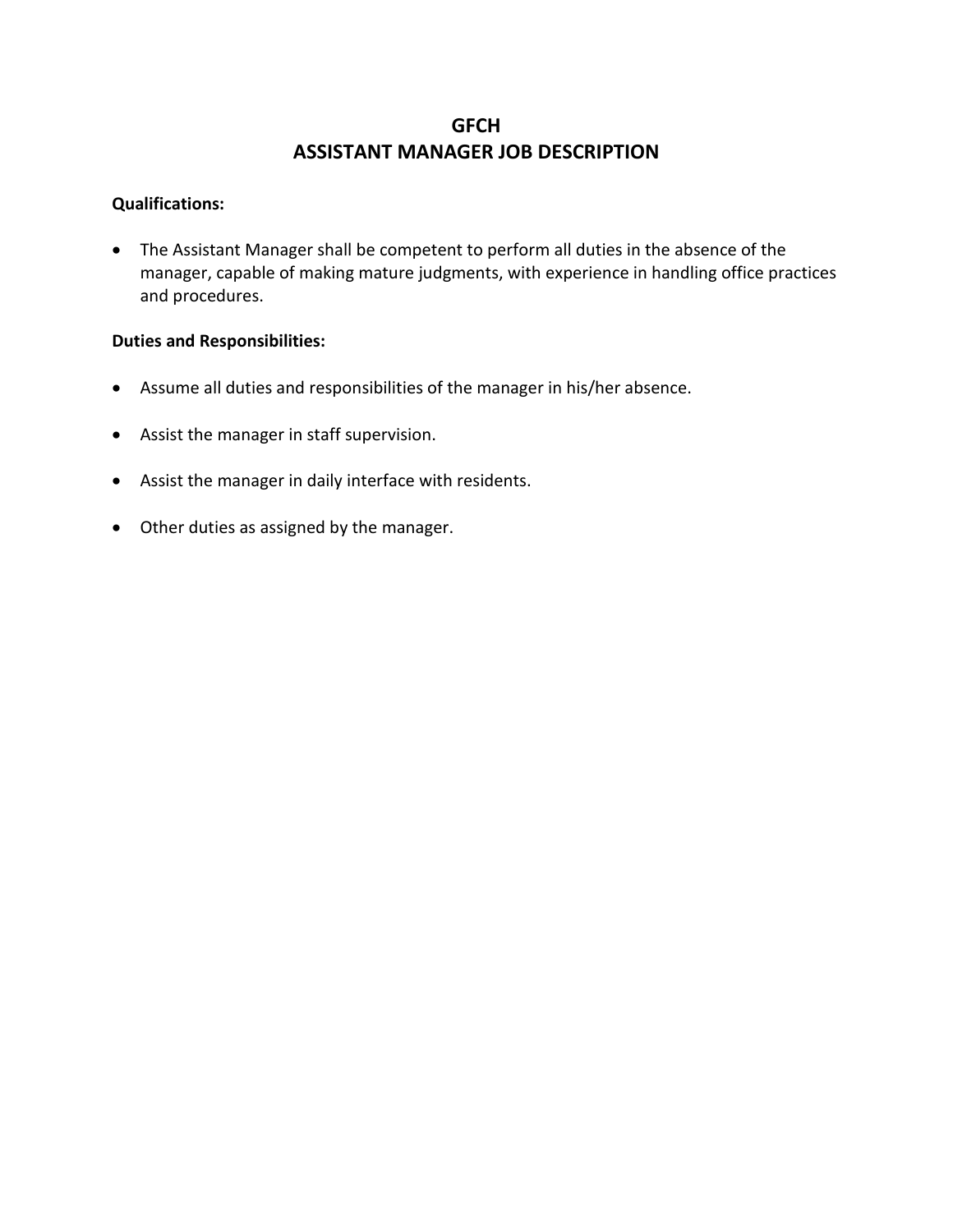# **GFCH ASSISTANT MANAGER JOB DESCRIPTION**

### **Qualifications:**

• The Assistant Manager shall be competent to perform all duties in the absence of the manager, capable of making mature judgments, with experience in handling office practices and procedures.

### **Duties and Responsibilities:**

- Assume all duties and responsibilities of the manager in his/her absence.
- Assist the manager in staff supervision.
- Assist the manager in daily interface with residents.
- Other duties as assigned by the manager.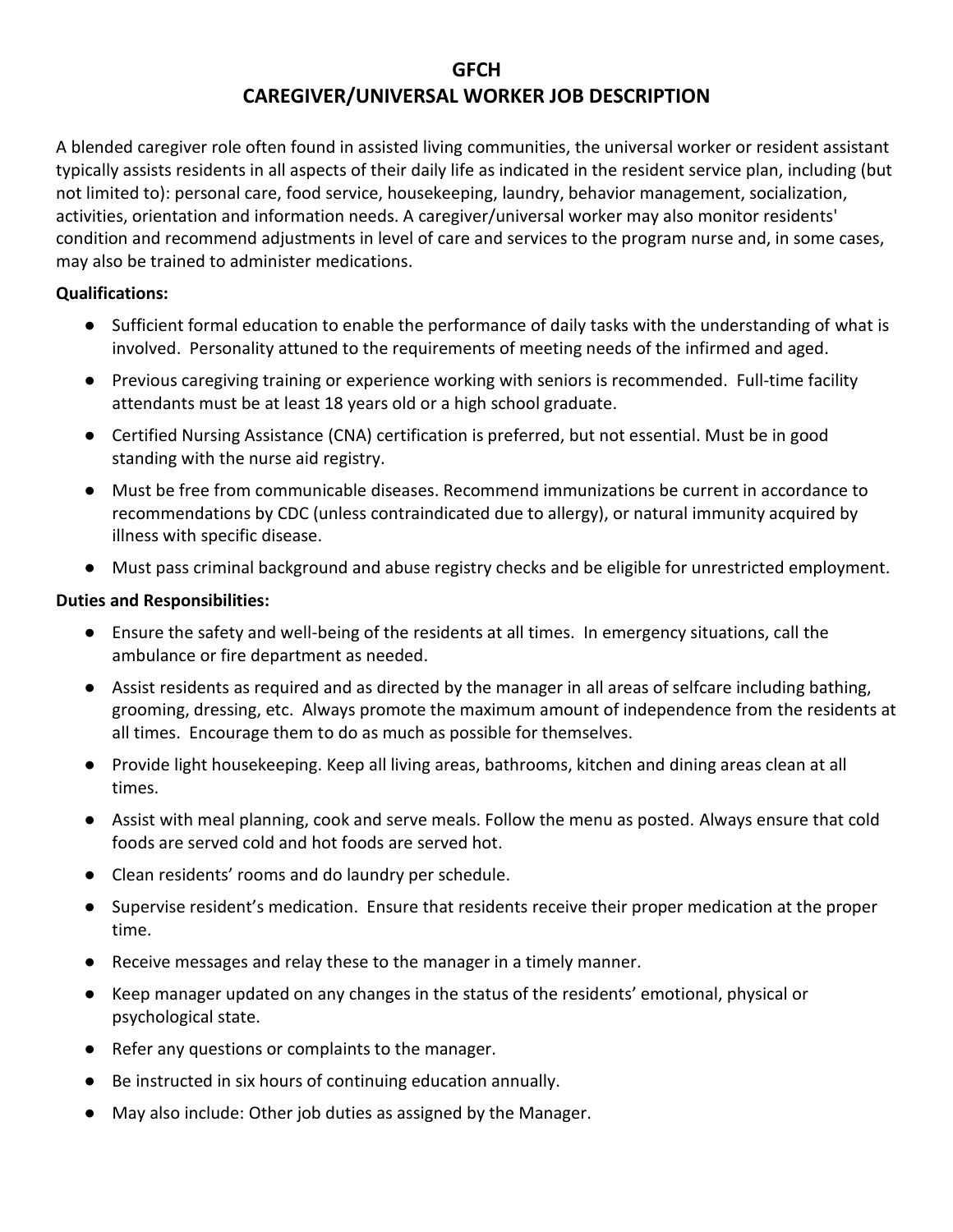## **GFCH CAREGIVER/UNIVERSAL WORKER JOB DESCRIPTION**

A blended caregiver role often found in assisted living communities, the universal worker or resident assistant typically assists residents in all aspects of their daily life as indicated in the resident service plan, including (but not limited to): personal care, food service, housekeeping, laundry, behavior management, socialization, activities, orientation and information needs. A caregiver/universal worker may also monitor residents' condition and recommend adjustments in level of care and services to the program nurse and, in some cases, may also be trained to administer medications.

### **Qualifications:**

- Sufficient formal education to enable the performance of daily tasks with the understanding of what is involved. Personality attuned to the requirements of meeting needs of the infirmed and aged.
- Previous caregiving training or experience working with seniors is recommended. Full-time facility attendants must be at least 18 years old or a high school graduate.
- Certified Nursing Assistance (CNA) certification is preferred, but not essential. Must be in good standing with the nurse aid registry.
- Must be free from communicable diseases. Recommend immunizations be current in accordance to recommendations by CDC (unless contraindicated due to allergy), or natural immunity acquired by illness with specific disease.
- Must pass criminal background and abuse registry checks and be eligible for unrestricted employment.

### **Duties and Responsibilities:**

- Ensure the safety and well-being of the residents at all times. In emergency situations, call the ambulance or fire department as needed.
- Assist residents as required and as directed by the manager in all areas of selfcare including bathing, grooming, dressing, etc. Always promote the maximum amount of independence from the residents at all times. Encourage them to do as much as possible for themselves.
- Provide light housekeeping. Keep all living areas, bathrooms, kitchen and dining areas clean at all times.
- Assist with meal planning, cook and serve meals. Follow the menu as posted. Always ensure that cold foods are served cold and hot foods are served hot.
- Clean residents' rooms and do laundry per schedule.
- Supervise resident's medication. Ensure that residents receive their proper medication at the proper time.
- Receive messages and relay these to the manager in a timely manner.
- Keep manager updated on any changes in the status of the residents' emotional, physical or psychological state.
- Refer any questions or complaints to the manager.
- Be instructed in six hours of continuing education annually.
- May also include: Other job duties as assigned by the Manager.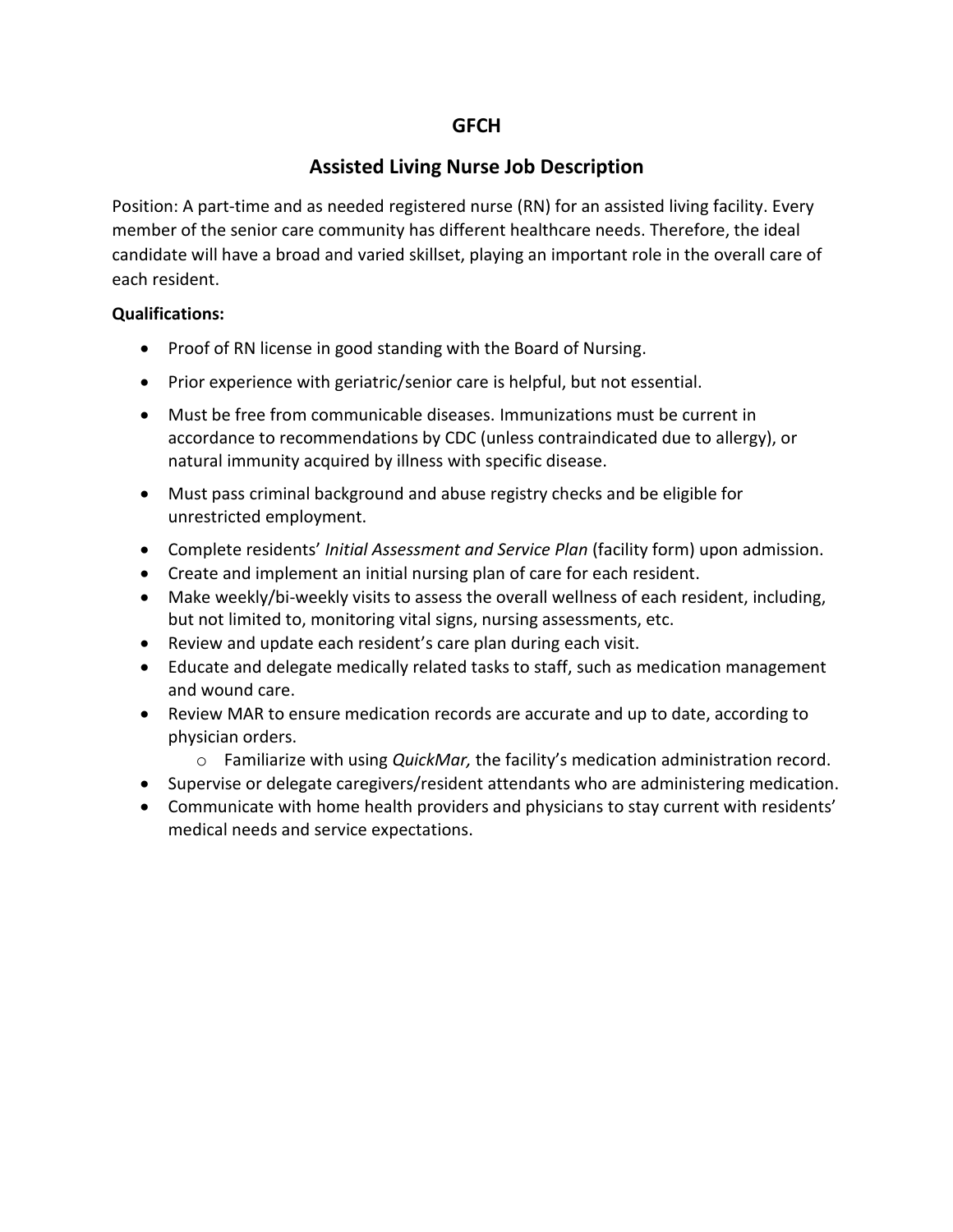### **GFCH**

## **Assisted Living Nurse Job Description**

Position: A part-time and as needed registered nurse (RN) for an assisted living facility. Every member of the senior care community has different healthcare needs. Therefore, the ideal candidate will have a broad and varied skillset, playing an important role in the overall care of each resident.

### **Qualifications:**

- Proof of RN license in good standing with the Board of Nursing.
- Prior experience with geriatric/senior care is helpful, but not essential.
- Must be free from communicable diseases. Immunizations must be current in accordance to recommendations by CDC (unless contraindicated due to allergy), or natural immunity acquired by illness with specific disease.
- Must pass criminal background and abuse registry checks and be eligible for unrestricted employment.
- Complete residents' *Initial Assessment and Service Plan* (facility form) upon admission.
- Create and implement an initial nursing plan of care for each resident.
- Make weekly/bi-weekly visits to assess the overall wellness of each resident, including, but not limited to, monitoring vital signs, nursing assessments, etc.
- Review and update each resident's care plan during each visit.
- Educate and delegate medically related tasks to staff, such as medication management and wound care.
- Review MAR to ensure medication records are accurate and up to date, according to physician orders.
	- o Familiarize with using *QuickMar,* the facility's medication administration record.
- Supervise or delegate caregivers/resident attendants who are administering medication.
- Communicate with home health providers and physicians to stay current with residents' medical needs and service expectations.